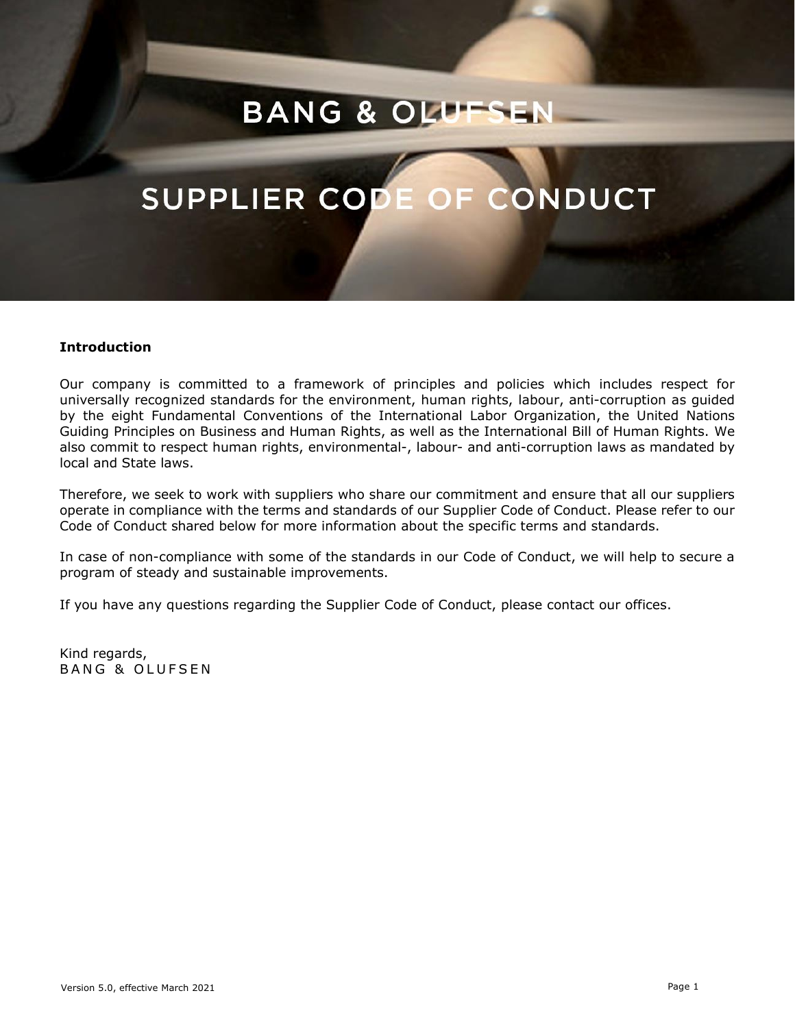# SUPPLIER CODE OF CONDUCT

# **Introduction**

**Supplier Code of Code of Code of Code of Code of Code of Code of Code of Code of Code of Code of Code of Code** 

Our company is committed to a framework of principles and policies which includes respect for universally recognized standards for the environment, human rights, labour, anti-corruption as guided by the eight Fundamental Conventions of the International Labor Organization, the United Nations Guiding Principles on Business and Human Rights, as well as the International Bill of Human Rights. We also commit to respect human rights, environmental-, labour- and anti-corruption laws as mandated by local and State laws.

Therefore, we seek to work with suppliers who share our commitment and ensure that all our suppliers operate in compliance with the terms and standards of our Supplier Code of Conduct. Please refer to our Code of Conduct shared below for more information about the specific terms and standards.

In case of non-compliance with some of the standards in our Code of Conduct, we will help to secure a program of steady and sustainable improvements.

If you have any questions regarding the Supplier Code of Conduct, please contact our offices.

Kind regards, BANG & OLUFSEN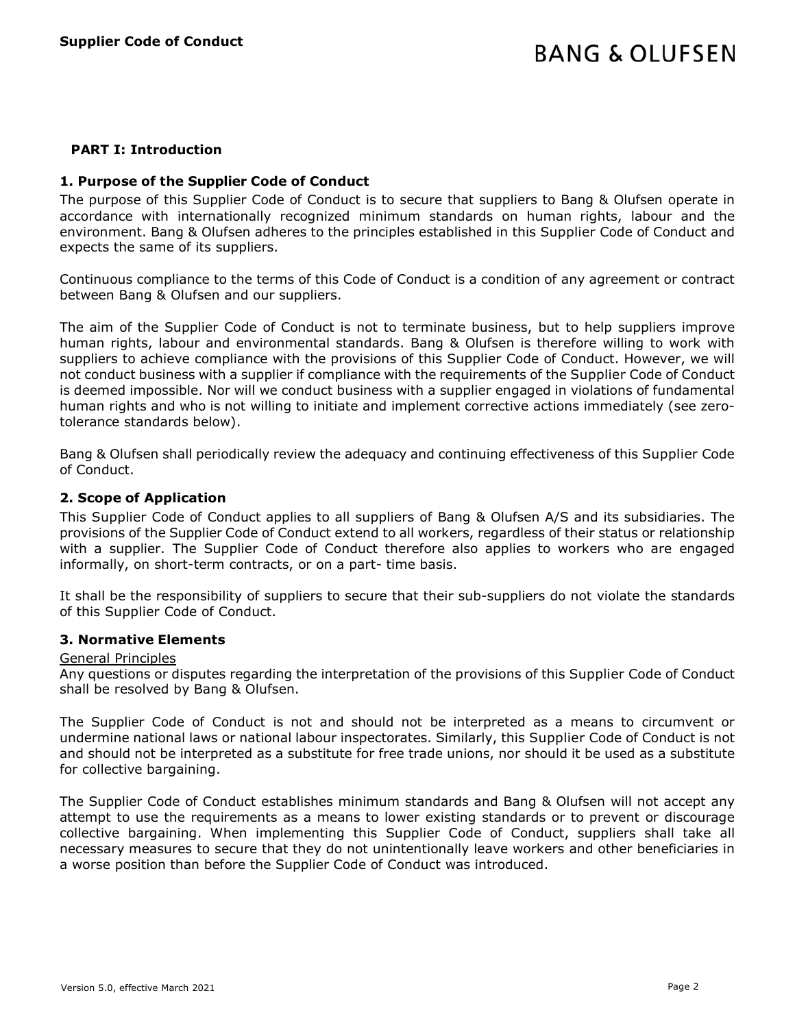# **PART I: Introduction**

# **1. Purpose of the Supplier Code of Conduct**

The purpose of this Supplier Code of Conduct is to secure that suppliers to Bang & Olufsen operate in accordance with internationally recognized minimum standards on human rights, labour and the environment. Bang & Olufsen adheres to the principles established in this Supplier Code of Conduct and expects the same of its suppliers.

Continuous compliance to the terms of this Code of Conduct is a condition of any agreement or contract between Bang & Olufsen and our suppliers.

The aim of the Supplier Code of Conduct is not to terminate business, but to help suppliers improve human rights, labour and environmental standards. Bang & Olufsen is therefore willing to work with suppliers to achieve compliance with the provisions of this Supplier Code of Conduct. However, we will not conduct business with a supplier if compliance with the requirements of the Supplier Code of Conduct is deemed impossible. Nor will we conduct business with a supplier engaged in violations of fundamental human rights and who is not willing to initiate and implement corrective actions immediately (see zerotolerance standards below).

Bang & Olufsen shall periodically review the adequacy and continuing effectiveness of this Supplier Code of Conduct.

# **2. Scope of Application**

This Supplier Code of Conduct applies to all suppliers of Bang & Olufsen A/S and its subsidiaries. The provisions of the Supplier Code of Conduct extend to all workers, regardless of their status or relationship with a supplier. The Supplier Code of Conduct therefore also applies to workers who are engaged informally, on short-term contracts, or on a part- time basis.

It shall be the responsibility of suppliers to secure that their sub-suppliers do not violate the standards of this Supplier Code of Conduct.

#### **3. Normative Elements**

#### General Principles

Any questions or disputes regarding the interpretation of the provisions of this Supplier Code of Conduct shall be resolved by Bang & Olufsen.

The Supplier Code of Conduct is not and should not be interpreted as a means to circumvent or undermine national laws or national labour inspectorates. Similarly, this Supplier Code of Conduct is not and should not be interpreted as a substitute for free trade unions, nor should it be used as a substitute for collective bargaining.

The Supplier Code of Conduct establishes minimum standards and Bang & Olufsen will not accept any attempt to use the requirements as a means to lower existing standards or to prevent or discourage collective bargaining. When implementing this Supplier Code of Conduct, suppliers shall take all necessary measures to secure that they do not unintentionally leave workers and other beneficiaries in a worse position than before the Supplier Code of Conduct was introduced.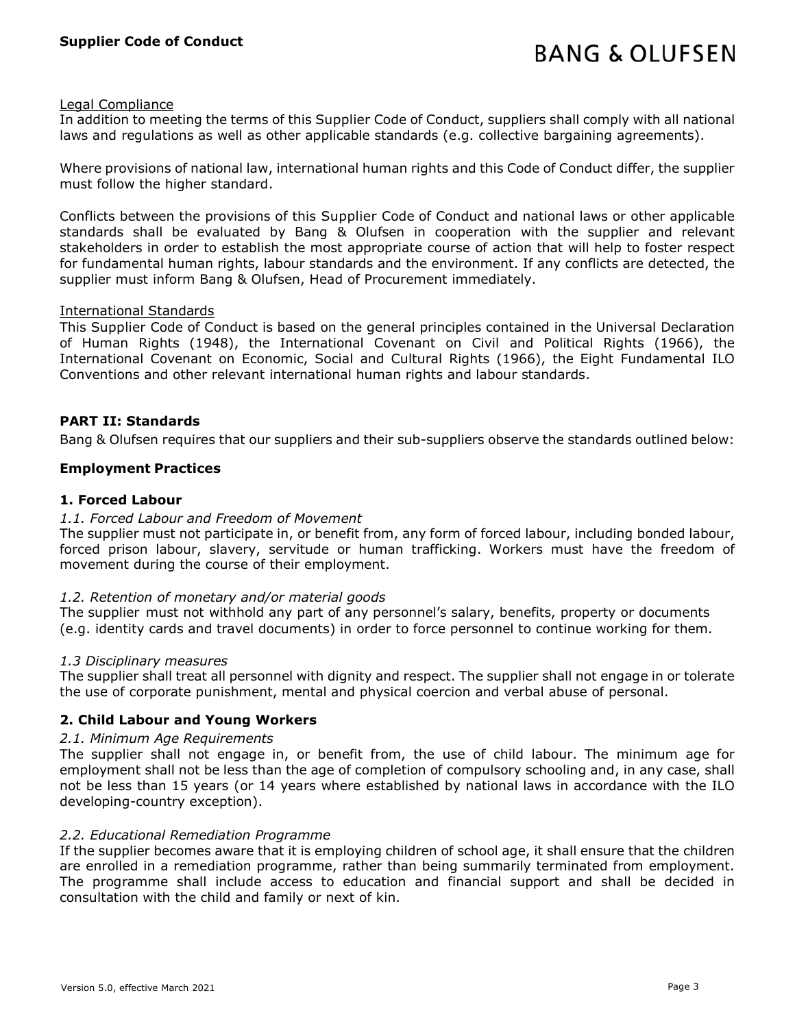# Legal Compliance

In addition to meeting the terms of this Supplier Code of Conduct, suppliers shall comply with all national laws and regulations as well as other applicable standards (e.g. collective bargaining agreements).

Where provisions of national law, international human rights and this Code of Conduct differ, the supplier must follow the higher standard.

Conflicts between the provisions of this Supplier Code of Conduct and national laws or other applicable standards shall be evaluated by Bang & Olufsen in cooperation with the supplier and relevant stakeholders in order to establish the most appropriate course of action that will help to foster respect for fundamental human rights, labour standards and the environment. If any conflicts are detected, the supplier must inform Bang & Olufsen, Head of Procurement immediately.

# International Standards

This Supplier Code of Conduct is based on the general principles contained in the Universal Declaration of Human Rights (1948), the International Covenant on Civil and Political Rights (1966), the International Covenant on Economic, Social and Cultural Rights (1966), the Eight Fundamental ILO Conventions and other relevant international human rights and labour standards.

# **PART II: Standards**

Bang & Olufsen requires that our suppliers and their sub-suppliers observe the standards outlined below:

# **Employment Practices**

# **1. Forced Labour**

#### *1.1. Forced Labour and Freedom of Movement*

The supplier must not participate in, or benefit from, any form of forced labour, including bonded labour, forced prison labour, slavery, servitude or human trafficking. Workers must have the freedom of movement during the course of their employment.

#### *1.2. Retention of monetary and/or material goods*

The supplier must not withhold any part of any personnel's salary, benefits, property or documents (e.g. identity cards and travel documents) in order to force personnel to continue working for them.

#### *1.3 Disciplinary measures*

The supplier shall treat all personnel with dignity and respect. The supplier shall not engage in or tolerate the use of corporate punishment, mental and physical coercion and verbal abuse of personal.

# **2. Child Labour and Young Workers**

#### *2.1. Minimum Age Requirements*

The supplier shall not engage in, or benefit from, the use of child labour. The minimum age for employment shall not be less than the age of completion of compulsory schooling and, in any case, shall not be less than 15 years (or 14 years where established by national laws in accordance with the ILO developing-country exception).

#### *2.2. Educational Remediation Programme*

If the supplier becomes aware that it is employing children of school age, it shall ensure that the children are enrolled in a remediation programme, rather than being summarily terminated from employment. The programme shall include access to education and financial support and shall be decided in consultation with the child and family or next of kin.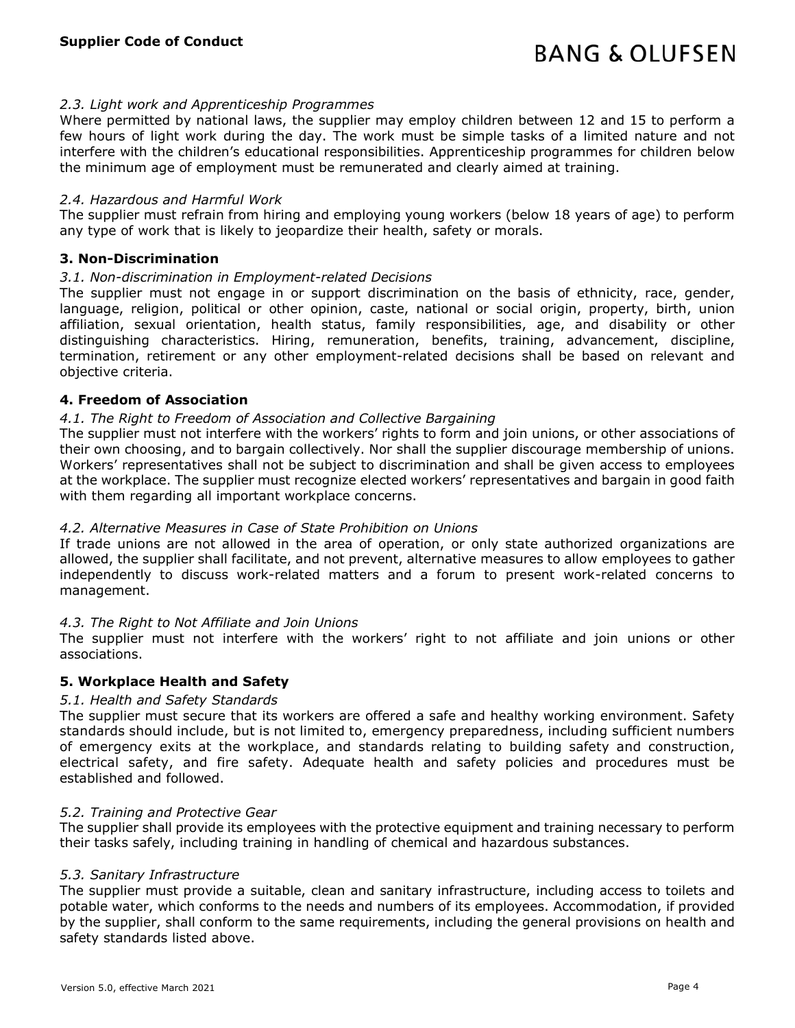# *2.3. Light work and Apprenticeship Programmes*

Where permitted by national laws, the supplier may employ children between 12 and 15 to perform a few hours of light work during the day. The work must be simple tasks of a limited nature and not interfere with the children's educational responsibilities. Apprenticeship programmes for children below the minimum age of employment must be remunerated and clearly aimed at training.

#### *2.4. Hazardous and Harmful Work*

The supplier must refrain from hiring and employing young workers (below 18 years of age) to perform any type of work that is likely to jeopardize their health, safety or morals.

# **3. Non-Discrimination**

# *3.1. Non-discrimination in Employment-related Decisions*

The supplier must not engage in or support discrimination on the basis of ethnicity, race, gender, language, religion, political or other opinion, caste, national or social origin, property, birth, union affiliation, sexual orientation, health status, family responsibilities, age, and disability or other distinguishing characteristics. Hiring, remuneration, benefits, training, advancement, discipline, termination, retirement or any other employment-related decisions shall be based on relevant and objective criteria.

# **4. Freedom of Association**

# *4.1. The Right to Freedom of Association and Collective Bargaining*

The supplier must not interfere with the workers' rights to form and join unions, or other associations of their own choosing, and to bargain collectively. Nor shall the supplier discourage membership of unions. Workers' representatives shall not be subject to discrimination and shall be given access to employees at the workplace. The supplier must recognize elected workers' representatives and bargain in good faith with them regarding all important workplace concerns.

#### *4.2. Alternative Measures in Case of State Prohibition on Unions*

If trade unions are not allowed in the area of operation, or only state authorized organizations are allowed, the supplier shall facilitate, and not prevent, alternative measures to allow employees to gather independently to discuss work-related matters and a forum to present work-related concerns to management.

#### *4.3. The Right to Not Affiliate and Join Unions*

The supplier must not interfere with the workers' right to not affiliate and join unions or other associations.

# **5. Workplace Health and Safety**

# *5.1. Health and Safety Standards*

The supplier must secure that its workers are offered a safe and healthy working environment. Safety standards should include, but is not limited to, emergency preparedness, including sufficient numbers of emergency exits at the workplace, and standards relating to building safety and construction, electrical safety, and fire safety. Adequate health and safety policies and procedures must be established and followed.

#### *5.2. Training and Protective Gear*

The supplier shall provide its employees with the protective equipment and training necessary to perform their tasks safely, including training in handling of chemical and hazardous substances.

#### *5.3. Sanitary Infrastructure*

The supplier must provide a suitable, clean and sanitary infrastructure, including access to toilets and potable water, which conforms to the needs and numbers of its employees. Accommodation, if provided by the supplier, shall conform to the same requirements, including the general provisions on health and safety standards listed above.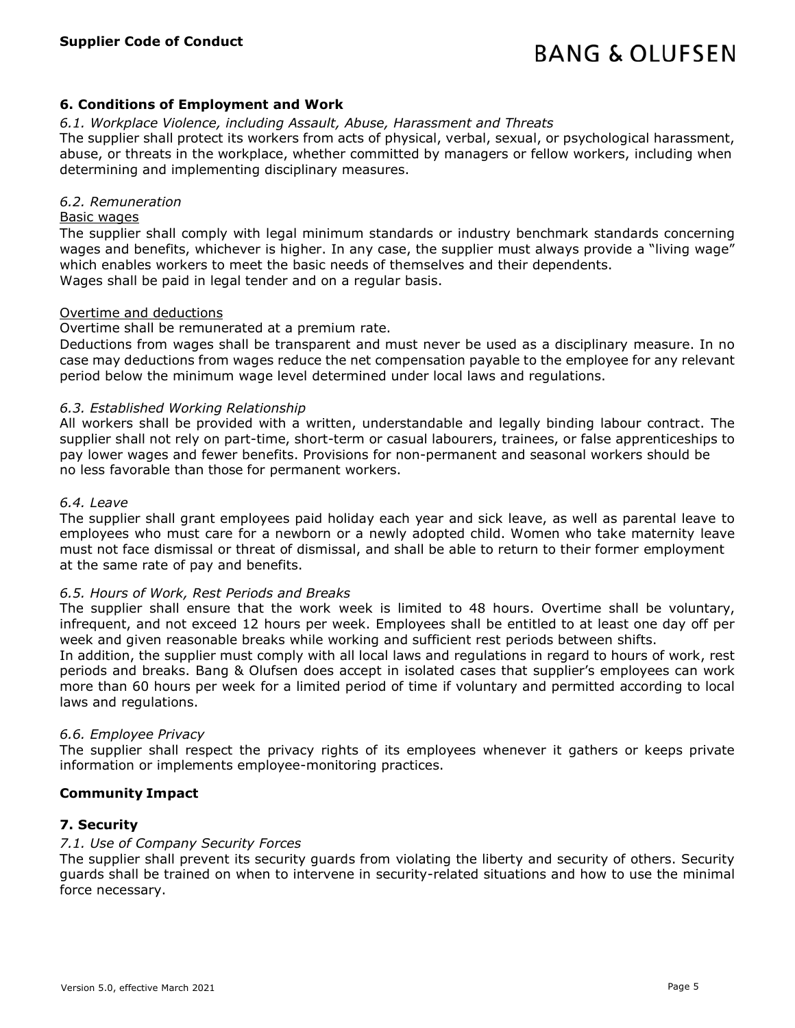# **6. Conditions of Employment and Work**

#### *6.1. Workplace Violence, including Assault, Abuse, Harassment and Threats*

The supplier shall protect its workers from acts of physical, verbal, sexual, or psychological harassment, abuse, or threats in the workplace, whether committed by managers or fellow workers, including when determining and implementing disciplinary measures.

# *6.2. Remuneration*

#### Basic wages

The supplier shall comply with legal minimum standards or industry benchmark standards concerning wages and benefits, whichever is higher. In any case, the supplier must always provide a "living wage" which enables workers to meet the basic needs of themselves and their dependents. Wages shall be paid in legal tender and on a regular basis.

#### Overtime and deductions

Overtime shall be remunerated at a premium rate.

Deductions from wages shall be transparent and must never be used as a disciplinary measure. In no case may deductions from wages reduce the net compensation payable to the employee for any relevant period below the minimum wage level determined under local laws and regulations.

# *6.3. Established Working Relationship*

All workers shall be provided with a written, understandable and legally binding labour contract. The supplier shall not rely on part-time, short-term or casual labourers, trainees, or false apprenticeships to pay lower wages and fewer benefits. Provisions for non-permanent and seasonal workers should be no less favorable than those for permanent workers.

# *6.4. Leave*

The supplier shall grant employees paid holiday each year and sick leave, as well as parental leave to employees who must care for a newborn or a newly adopted child. Women who take maternity leave must not face dismissal or threat of dismissal, and shall be able to return to their former employment at the same rate of pay and benefits.

# *6.5. Hours of Work, Rest Periods and Breaks*

The supplier shall ensure that the work week is limited to 48 hours. Overtime shall be voluntary, infrequent, and not exceed 12 hours per week. Employees shall be entitled to at least one day off per week and given reasonable breaks while working and sufficient rest periods between shifts.

In addition, the supplier must comply with all local laws and regulations in regard to hours of work, rest periods and breaks. Bang & Olufsen does accept in isolated cases that supplier's employees can work more than 60 hours per week for a limited period of time if voluntary and permitted according to local laws and regulations.

#### *6.6. Employee Privacy*

The supplier shall respect the privacy rights of its employees whenever it gathers or keeps private information or implements employee-monitoring practices.

# **Community Impact**

# **7. Security**

#### *7.1. Use of Company Security Forces*

The supplier shall prevent its security guards from violating the liberty and security of others. Security guards shall be trained on when to intervene in security-related situations and how to use the minimal force necessary.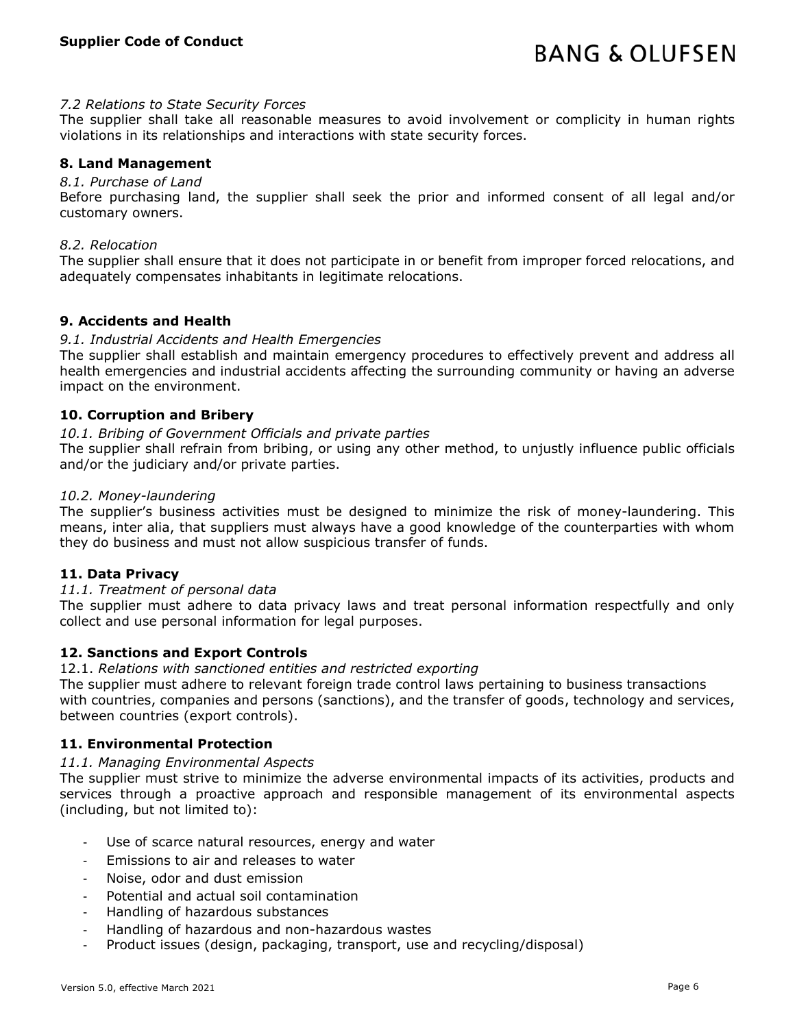# *7.2 Relations to State Security Forces*

The supplier shall take all reasonable measures to avoid involvement or complicity in human rights violations in its relationships and interactions with state security forces.

# **8. Land Management**

#### *8.1. Purchase of Land*

Before purchasing land, the supplier shall seek the prior and informed consent of all legal and/or customary owners.

#### *8.2. Relocation*

The supplier shall ensure that it does not participate in or benefit from improper forced relocations, and adequately compensates inhabitants in legitimate relocations.

# **9. Accidents and Health**

# *9.1. Industrial Accidents and Health Emergencies*

The supplier shall establish and maintain emergency procedures to effectively prevent and address all health emergencies and industrial accidents affecting the surrounding community or having an adverse impact on the environment.

# **10. Corruption and Bribery**

# *10.1. Bribing of Government Officials and private parties*

The supplier shall refrain from bribing, or using any other method, to unjustly influence public officials and/or the judiciary and/or private parties.

# *10.2. Money-laundering*

The supplier's business activities must be designed to minimize the risk of money-laundering. This means, inter alia, that suppliers must always have a good knowledge of the counterparties with whom they do business and must not allow suspicious transfer of funds.

# **11. Data Privacy**

#### *11.1. Treatment of personal data*

The supplier must adhere to data privacy laws and treat personal information respectfully and only collect and use personal information for legal purposes.

# **12. Sanctions and Export Controls**

#### 12.1. *Relations with sanctioned entities and restricted exporting*

The supplier must adhere to relevant foreign trade control laws pertaining to business transactions with countries, companies and persons (sanctions), and the transfer of goods, technology and services, between countries (export controls).

#### **11. Environmental Protection**

#### *11.1. Managing Environmental Aspects*

The supplier must strive to minimize the adverse environmental impacts of its activities, products and services through a proactive approach and responsible management of its environmental aspects (including, but not limited to):

- Use of scarce natural resources, energy and water
- Emissions to air and releases to water
- Noise, odor and dust emission
- Potential and actual soil contamination
- Handling of hazardous substances
- Handling of hazardous and non-hazardous wastes
- Product issues (design, packaging, transport, use and recycling/disposal)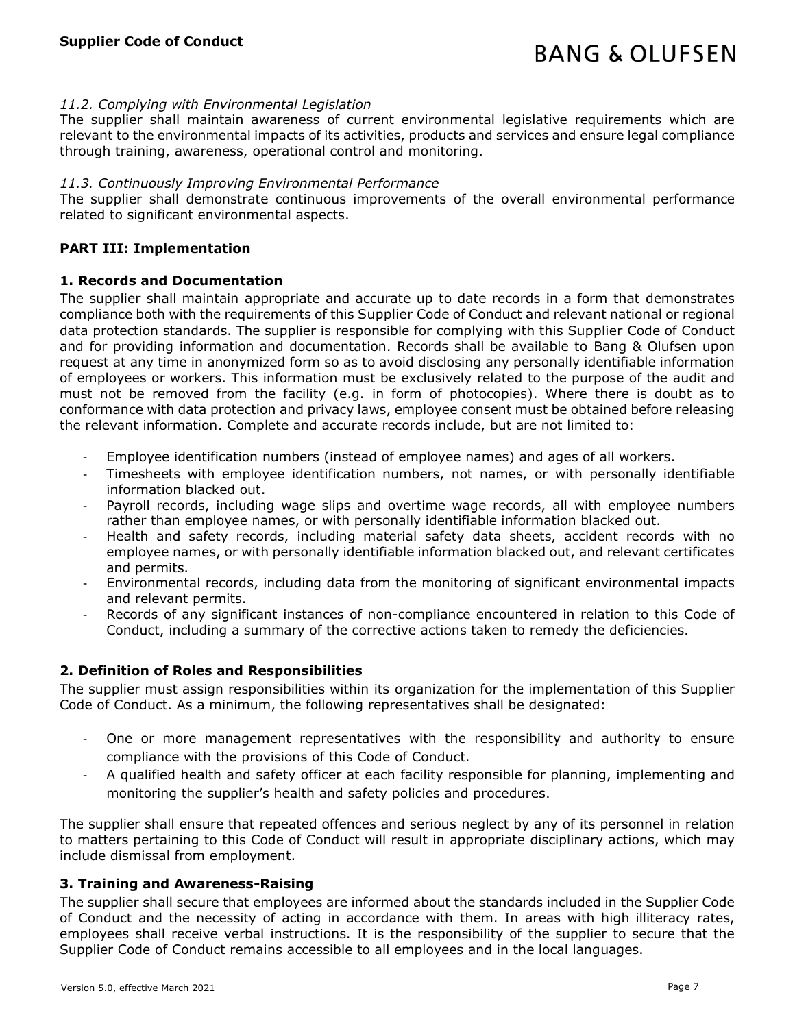# *11.2. Complying with Environmental Legislation*

The supplier shall maintain awareness of current environmental legislative requirements which are relevant to the environmental impacts of its activities, products and services and ensure legal compliance through training, awareness, operational control and monitoring.

# *11.3. Continuously Improving Environmental Performance*

The supplier shall demonstrate continuous improvements of the overall environmental performance related to significant environmental aspects.

# **PART III: Implementation**

# **1. Records and Documentation**

The supplier shall maintain appropriate and accurate up to date records in a form that demonstrates compliance both with the requirements of this Supplier Code of Conduct and relevant national or regional data protection standards. The supplier is responsible for complying with this Supplier Code of Conduct and for providing information and documentation. Records shall be available to Bang & Olufsen upon request at any time in anonymized form so as to avoid disclosing any personally identifiable information of employees or workers. This information must be exclusively related to the purpose of the audit and must not be removed from the facility (e.g. in form of photocopies). Where there is doubt as to conformance with data protection and privacy laws, employee consent must be obtained before releasing the relevant information. Complete and accurate records include, but are not limited to:

- Employee identification numbers (instead of employee names) and ages of all workers.
- Timesheets with employee identification numbers, not names, or with personally identifiable information blacked out.
- Payroll records, including wage slips and overtime wage records, all with employee numbers rather than employee names, or with personally identifiable information blacked out.
- Health and safety records, including material safety data sheets, accident records with no employee names, or with personally identifiable information blacked out, and relevant certificates and permits.
- Environmental records, including data from the monitoring of significant environmental impacts and relevant permits.
- Records of any significant instances of non-compliance encountered in relation to this Code of Conduct, including a summary of the corrective actions taken to remedy the deficiencies.

# **2. Definition of Roles and Responsibilities**

The supplier must assign responsibilities within its organization for the implementation of this Supplier Code of Conduct. As a minimum, the following representatives shall be designated:

- One or more management representatives with the responsibility and authority to ensure compliance with the provisions of this Code of Conduct.
- A qualified health and safety officer at each facility responsible for planning, implementing and monitoring the supplier's health and safety policies and procedures.

The supplier shall ensure that repeated offences and serious neglect by any of its personnel in relation to matters pertaining to this Code of Conduct will result in appropriate disciplinary actions, which may include dismissal from employment.

# **3. Training and Awareness-Raising**

The supplier shall secure that employees are informed about the standards included in the Supplier Code of Conduct and the necessity of acting in accordance with them. In areas with high illiteracy rates, employees shall receive verbal instructions. It is the responsibility of the supplier to secure that the Supplier Code of Conduct remains accessible to all employees and in the local languages.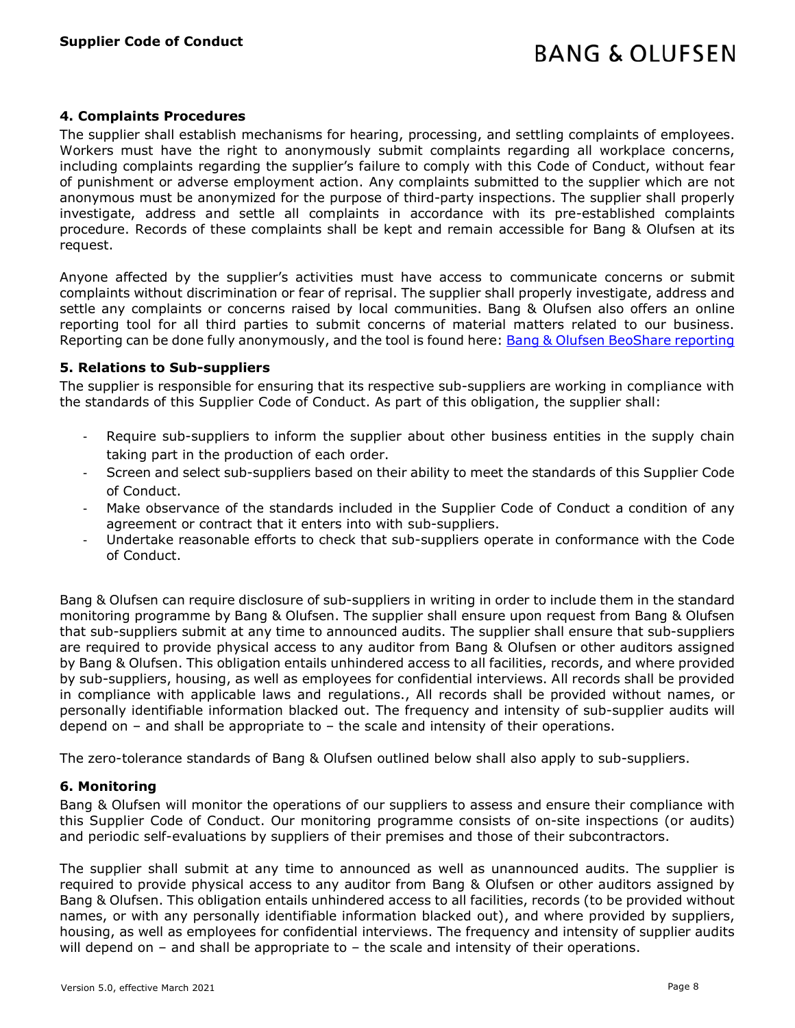# **4. Complaints Procedures**

The supplier shall establish mechanisms for hearing, processing, and settling complaints of employees. Workers must have the right to anonymously submit complaints regarding all workplace concerns, including complaints regarding the supplier's failure to comply with this Code of Conduct, without fear of punishment or adverse employment action. Any complaints submitted to the supplier which are not anonymous must be anonymized for the purpose of third-party inspections. The supplier shall properly investigate, address and settle all complaints in accordance with its pre-established complaints procedure. Records of these complaints shall be kept and remain accessible for Bang & Olufsen at its request.

Anyone affected by the supplier's activities must have access to communicate concerns or submit complaints without discrimination or fear of reprisal. The supplier shall properly investigate, address and settle any complaints or concerns raised by local communities. Bang & Olufsen also offers an online reporting tool for all third parties to submit concerns of material matters related to our business. Reporting can be done fully anonymously, and the tool is found here: [Bang & Olufsen BeoShare reporting](https://bangolufsen.whistleblowernetwork.net/frontpage)

# **5. Relations to Sub-suppliers**

The supplier is responsible for ensuring that its respective sub-suppliers are working in compliance with the standards of this Supplier Code of Conduct. As part of this obligation, the supplier shall:

- Require sub-suppliers to inform the supplier about other business entities in the supply chain taking part in the production of each order.
- Screen and select sub-suppliers based on their ability to meet the standards of this Supplier Code of Conduct.
- Make observance of the standards included in the Supplier Code of Conduct a condition of any agreement or contract that it enters into with sub-suppliers.
- Undertake reasonable efforts to check that sub-suppliers operate in conformance with the Code of Conduct.

Bang & Olufsen can require disclosure of sub-suppliers in writing in order to include them in the standard monitoring programme by Bang & Olufsen. The supplier shall ensure upon request from Bang & Olufsen that sub-suppliers submit at any time to announced audits. The supplier shall ensure that sub-suppliers are required to provide physical access to any auditor from Bang & Olufsen or other auditors assigned by Bang & Olufsen. This obligation entails unhindered access to all facilities, records, and where provided by sub-suppliers, housing, as well as employees for confidential interviews. All records shall be provided in compliance with applicable laws and regulations., All records shall be provided without names, or personally identifiable information blacked out. The frequency and intensity of sub-supplier audits will depend on – and shall be appropriate to – the scale and intensity of their operations.

The zero-tolerance standards of Bang & Olufsen outlined below shall also apply to sub-suppliers.

# **6. Monitoring**

Bang & Olufsen will monitor the operations of our suppliers to assess and ensure their compliance with this Supplier Code of Conduct. Our monitoring programme consists of on-site inspections (or audits) and periodic self-evaluations by suppliers of their premises and those of their subcontractors.

The supplier shall submit at any time to announced as well as unannounced audits. The supplier is required to provide physical access to any auditor from Bang & Olufsen or other auditors assigned by Bang & Olufsen. This obligation entails unhindered access to all facilities, records (to be provided without names, or with any personally identifiable information blacked out), and where provided by suppliers, housing, as well as employees for confidential interviews. The frequency and intensity of supplier audits will depend on – and shall be appropriate to – the scale and intensity of their operations.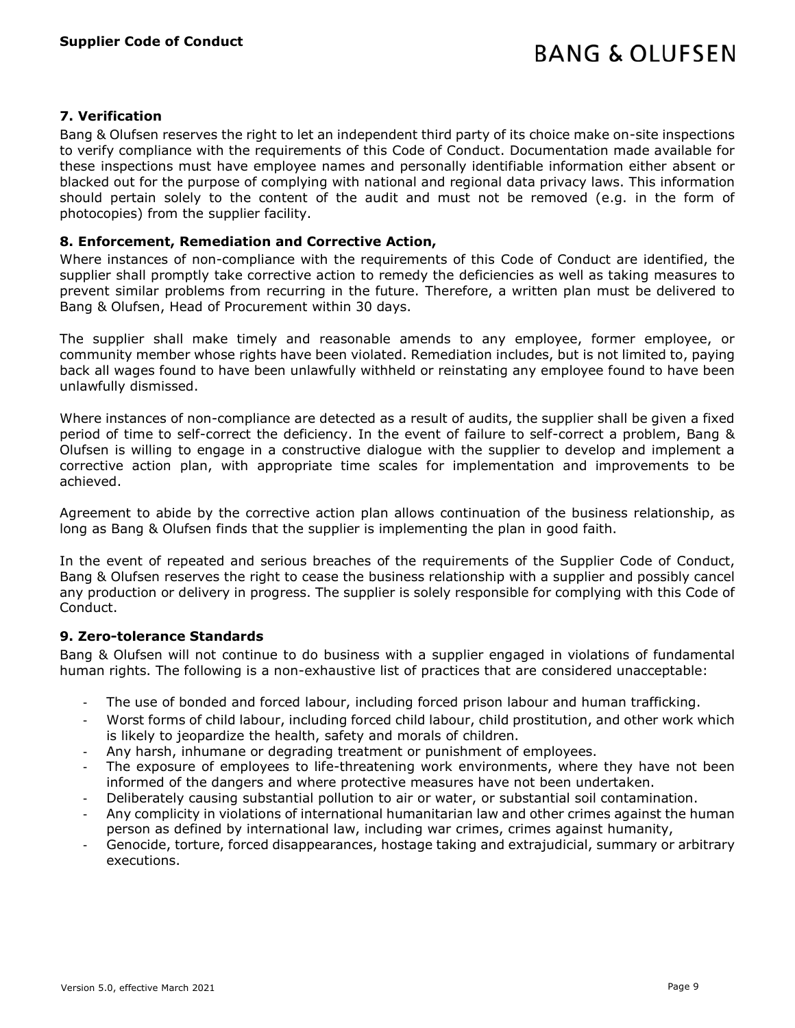# **7. Verification**

Bang & Olufsen reserves the right to let an independent third party of its choice make on-site inspections to verify compliance with the requirements of this Code of Conduct. Documentation made available for these inspections must have employee names and personally identifiable information either absent or blacked out for the purpose of complying with national and regional data privacy laws. This information should pertain solely to the content of the audit and must not be removed (e.g. in the form of photocopies) from the supplier facility.

# **8. Enforcement, Remediation and Corrective Action,**

Where instances of non-compliance with the requirements of this Code of Conduct are identified, the supplier shall promptly take corrective action to remedy the deficiencies as well as taking measures to prevent similar problems from recurring in the future. Therefore, a written plan must be delivered to Bang & Olufsen, Head of Procurement within 30 days.

The supplier shall make timely and reasonable amends to any employee, former employee, or community member whose rights have been violated. Remediation includes, but is not limited to, paying back all wages found to have been unlawfully withheld or reinstating any employee found to have been unlawfully dismissed.

Where instances of non-compliance are detected as a result of audits, the supplier shall be given a fixed period of time to self-correct the deficiency. In the event of failure to self-correct a problem, Bang & Olufsen is willing to engage in a constructive dialogue with the supplier to develop and implement a corrective action plan, with appropriate time scales for implementation and improvements to be achieved.

Agreement to abide by the corrective action plan allows continuation of the business relationship, as long as Bang & Olufsen finds that the supplier is implementing the plan in good faith.

In the event of repeated and serious breaches of the requirements of the Supplier Code of Conduct, Bang & Olufsen reserves the right to cease the business relationship with a supplier and possibly cancel any production or delivery in progress. The supplier is solely responsible for complying with this Code of Conduct.

# **9. Zero-tolerance Standards**

Bang & Olufsen will not continue to do business with a supplier engaged in violations of fundamental human rights. The following is a non-exhaustive list of practices that are considered unacceptable:

- The use of bonded and forced labour, including forced prison labour and human trafficking.
- Worst forms of child labour, including forced child labour, child prostitution, and other work which is likely to jeopardize the health, safety and morals of children.
- Any harsh, inhumane or degrading treatment or punishment of employees.
- The exposure of employees to life-threatening work environments, where they have not been informed of the dangers and where protective measures have not been undertaken.
- Deliberately causing substantial pollution to air or water, or substantial soil contamination.
- Any complicity in violations of international humanitarian law and other crimes against the human person as defined by international law, including war crimes, crimes against humanity,
- Genocide, torture, forced disappearances, hostage taking and extrajudicial, summary or arbitrary executions.